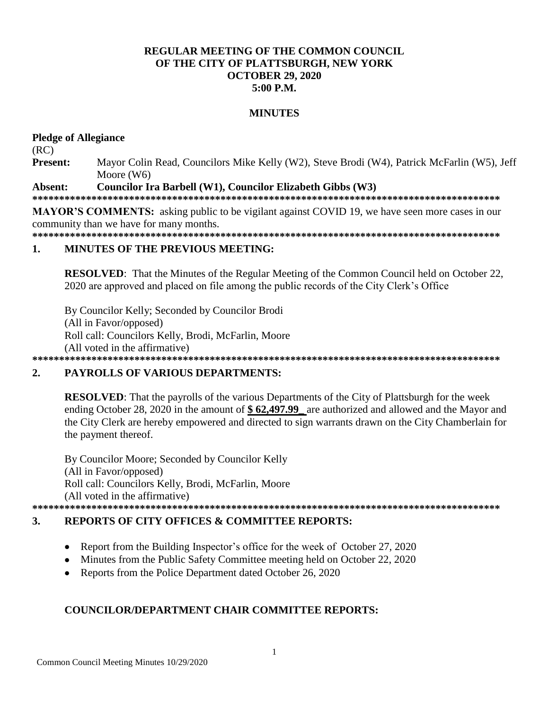# **REGULAR MEETING OF THE COMMON COUNCIL** OF THE CITY OF PLATTSBURGH, NEW YORK **OCTOBER 29, 2020**  $5:00$  P.M.

# **MINUTES**

### **Pledge of Allegiance**

 $(RC)$ 

**Present:** Mayor Colin Read, Councilors Mike Kelly (W2), Steve Brodi (W4), Patrick McFarlin (W5), Jeff Moore  $(W6)$ 

#### Absent: Councilor Ira Barbell (W1), Councilor Elizabeth Gibbs (W3)

**MAYOR'S COMMENTS:** asking public to be vigilant against COVID 19, we have seen more cases in our community than we have for many months.

#### **MINUTES OF THE PREVIOUS MEETING:**  $\mathbf{1}$ .

**RESOLVED:** That the Minutes of the Regular Meeting of the Common Council held on October 22, 2020 are approved and placed on file among the public records of the City Clerk's Office

By Councilor Kelly; Seconded by Councilor Brodi (All in Favor/opposed) Roll call: Councilors Kelly, Brodi, McFarlin, Moore (All voted in the affirmative)

#### $2.$ **PAYROLLS OF VARIOUS DEPARTMENTS:**

**RESOLVED:** That the payrolls of the various Departments of the City of Plattsburgh for the week ending October 28, 2020 in the amount of \$62,497.99 are authorized and allowed and the Mayor and the City Clerk are hereby empowered and directed to sign warrants drawn on the City Chamberlain for the payment thereof.

By Councilor Moore; Seconded by Councilor Kelly (All in Favor/opposed) Roll call: Councilors Kelly, Brodi, McFarlin, Moore (All voted in the affirmative)

#### 3. **REPORTS OF CITY OFFICES & COMMITTEE REPORTS:**

- Report from the Building Inspector's office for the week of October 27, 2020  $\bullet$
- Minutes from the Public Safety Committee meeting held on October 22, 2020
- Reports from the Police Department dated October 26, 2020

# **COUNCILOR/DEPARTMENT CHAIR COMMITTEE REPORTS:**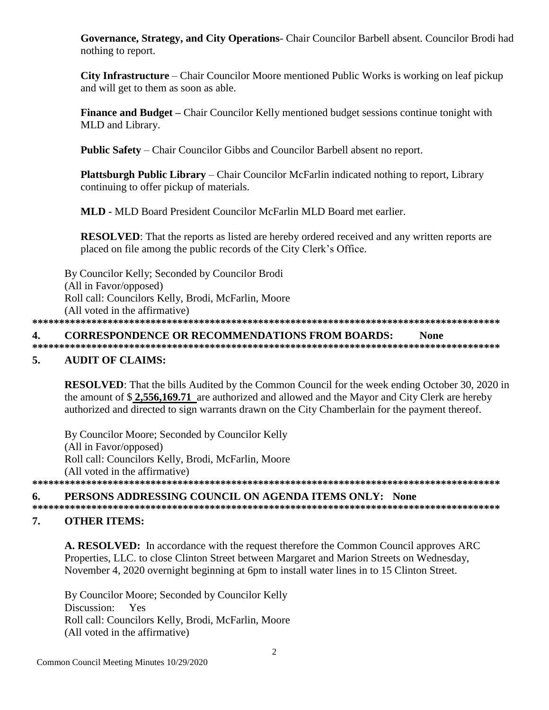Governance, Strategy, and City Operations- Chair Councilor Barbell absent. Councilor Brodi had nothing to report.

City Infrastructure – Chair Councilor Moore mentioned Public Works is working on leaf pickup and will get to them as soon as able.

**Finance and Budget** – Chair Councilor Kelly mentioned budget sessions continue tonight with MLD and Library.

**Public Safety** – Chair Councilor Gibbs and Councilor Barbell absent no report.

**Plattsburgh Public Library** – Chair Councilor McFarlin indicated nothing to report, Library continuing to offer pickup of materials.

**MLD - MLD Board President Councilor McFarlin MLD Board met earlier.** 

**RESOLVED:** That the reports as listed are hereby ordered received and any written reports are placed on file among the public records of the City Clerk's Office.

By Councilor Kelly; Seconded by Councilor Brodi (All in Favor/opposed) Roll call: Councilors Kelly, Brodi, McFarlin, Moore (All voted in the affirmative)

#### **CORRESPONDENCE OR RECOMMENDATIONS FROM BOARDS:** 4. **None**

**AUDIT OF CLAIMS:** 5.

**RESOLVED:** That the bills Audited by the Common Council for the week ending October 30, 2020 in the amount of \$2,556,169.71 are authorized and allowed and the Mayor and City Clerk are hereby authorized and directed to sign warrants drawn on the City Chamberlain for the payment thereof.

By Councilor Moore; Seconded by Councilor Kelly (All in Favor/opposed) Roll call: Councilors Kelly, Brodi, McFarlin, Moore (All voted in the affirmative) 

#### PERSONS ADDRESSING COUNCIL ON AGENDA ITEMS ONLY: None 6.

#### 7. **OTHER ITEMS:**

A. RESOLVED: In accordance with the request therefore the Common Council approves ARC Properties, LLC. to close Clinton Street between Margaret and Marion Streets on Wednesday, November 4, 2020 overnight beginning at 6pm to install water lines in to 15 Clinton Street.

By Councilor Moore; Seconded by Councilor Kelly Discussion: Yes Roll call: Councilors Kelly, Brodi, McFarlin, Moore (All voted in the affirmative)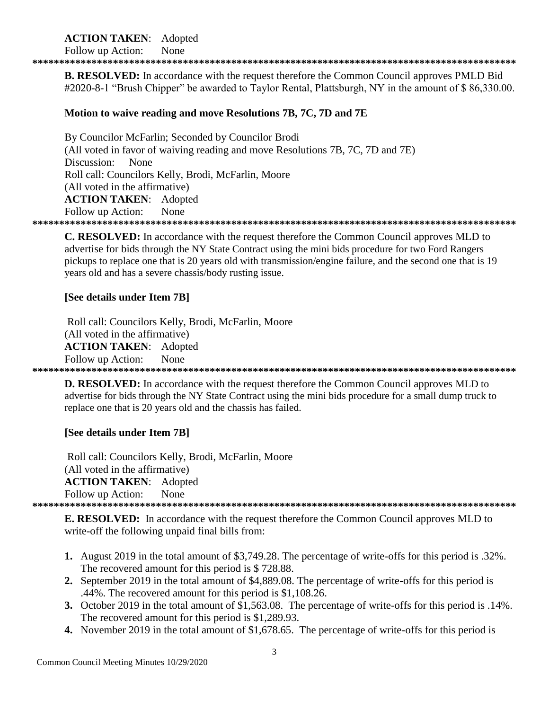# **ACTION TAKEN:** Adopted

Follow up Action: None

**B. RESOLVED:** In accordance with the request therefore the Common Council approves PMLD Bid #2020-8-1 "Brush Chipper" be awarded to Taylor Rental, Plattsburgh, NY in the amount of \$86,330.00.

# Motion to waive reading and move Resolutions 7B, 7C, 7D and 7E

By Councilor McFarlin; Seconded by Councilor Brodi (All voted in favor of waiving reading and move Resolutions 7B, 7C, 7D and 7E) Discussion: None Roll call: Councilors Kelly, Brodi, McFarlin, Moore (All voted in the affirmative) **ACTION TAKEN: Adopted** Follow up Action: **None** 

**C. RESOLVED:** In accordance with the request therefore the Common Council approves MLD to advertise for bids through the NY State Contract using the mini bids procedure for two Ford Rangers pickups to replace one that is 20 years old with transmission/engine failure, and the second one that is 19 years old and has a severe chassis/body rusting issue.

## [See details under Item 7B]

Roll call: Councilors Kelly, Brodi, McFarlin, Moore (All voted in the affirmative) **ACTION TAKEN:** Adopted Follow up Action: None 

**D. RESOLVED:** In accordance with the request therefore the Common Council approves MLD to advertise for bids through the NY State Contract using the mini bids procedure for a small dump truck to replace one that is 20 years old and the chassis has failed.

# [See details under Item 7B]

Roll call: Councilors Kelly, Brodi, McFarlin, Moore (All voted in the affirmative) **ACTION TAKEN:** Adopted Follow up Action: None 

**E. RESOLVED:** In accordance with the request therefore the Common Council approves MLD to

write-off the following unpaid final bills from:

- 1. August 2019 in the total amount of \$3,749.28. The percentage of write-offs for this period is .32%. The recovered amount for this period is \$728.88.
- 2. September 2019 in the total amount of \$4,889.08. The percentage of write-offs for this period is .44%. The recovered amount for this period is \$1,108.26.
- 3. October 2019 in the total amount of \$1,563.08. The percentage of write-offs for this period is .14%. The recovered amount for this period is \$1,289.93.
- 4. November 2019 in the total amount of \$1,678.65. The percentage of write-offs for this period is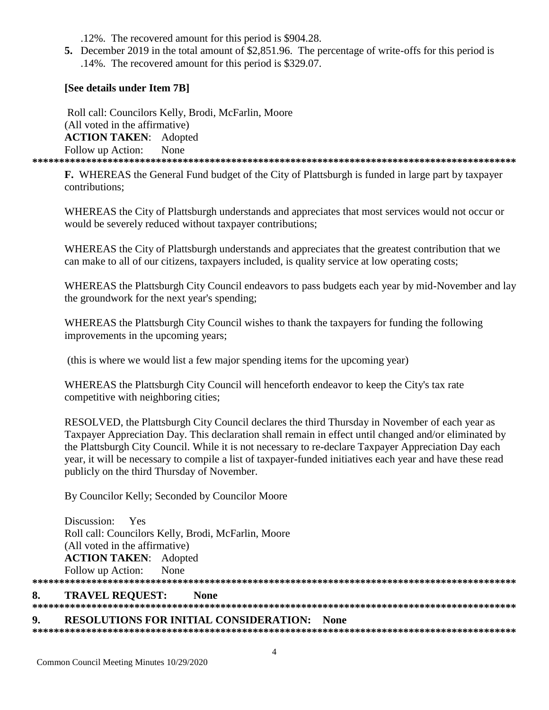.12%. The recovered amount for this period is \$904.28.

**5.** December 2019 in the total amount of \$2,851.96. The percentage of write-offs for this period is .14%. The recovered amount for this period is \$329.07.

# **[See details under Item 7B]**

 Roll call: Councilors Kelly, Brodi, McFarlin, Moore (All voted in the affirmative) **ACTION TAKEN**: Adopted Follow up Action: None **\*\*\*\*\*\*\*\*\*\*\*\*\*\*\*\*\*\*\*\*\*\*\*\*\*\*\*\*\*\*\*\*\*\*\*\*\*\*\*\*\*\*\*\*\*\*\*\*\*\*\*\*\*\*\*\*\*\*\*\*\*\*\*\*\*\*\*\*\*\*\*\*\*\*\*\*\*\*\*\*\*\*\*\*\*\*\*\*\*\***

**F.** WHEREAS the General Fund budget of the City of Plattsburgh is funded in large part by taxpayer contributions;

WHEREAS the City of Plattsburgh understands and appreciates that most services would not occur or would be severely reduced without taxpayer contributions;

WHEREAS the City of Plattsburgh understands and appreciates that the greatest contribution that we can make to all of our citizens, taxpayers included, is quality service at low operating costs;

WHEREAS the Plattsburgh City Council endeavors to pass budgets each year by mid-November and lay the groundwork for the next year's spending;

WHEREAS the Plattsburgh City Council wishes to thank the taxpayers for funding the following improvements in the upcoming years;

(this is where we would list a few major spending items for the upcoming year)

WHEREAS the Plattsburgh City Council will henceforth endeavor to keep the City's tax rate competitive with neighboring cities;

RESOLVED, the Plattsburgh City Council declares the third Thursday in November of each year as Taxpayer Appreciation Day. This declaration shall remain in effect until changed and/or eliminated by the Plattsburgh City Council. While it is not necessary to re-declare Taxpayer Appreciation Day each year, it will be necessary to compile a list of taxpayer-funded initiatives each year and have these read publicly on the third Thursday of November.

By Councilor Kelly; Seconded by Councilor Moore

Discussion: Yes Roll call: Councilors Kelly, Brodi, McFarlin, Moore (All voted in the affirmative) **ACTION TAKEN**: Adopted Follow up Action: None **\*\*\*\*\*\*\*\*\*\*\*\*\*\*\*\*\*\*\*\*\*\*\*\*\*\*\*\*\*\*\*\*\*\*\*\*\*\*\*\*\*\*\*\*\*\*\*\*\*\*\*\*\*\*\*\*\*\*\*\*\*\*\*\*\*\*\*\*\*\*\*\*\*\*\*\*\*\*\*\*\*\*\*\*\*\*\*\*\*\***

## **8. TRAVEL REQUEST: None**

#### **9. RESOLUTIONS FOR INITIAL CONSIDERATION: None**

**\*\*\*\*\*\*\*\*\*\*\*\*\*\*\*\*\*\*\*\*\*\*\*\*\*\*\*\*\*\*\*\*\*\*\*\*\*\*\*\*\*\*\*\*\*\*\*\*\*\*\*\*\*\*\*\*\*\*\*\*\*\*\*\*\*\*\*\*\*\*\*\*\*\*\*\*\*\*\*\*\*\*\*\*\*\*\*\*\*\***